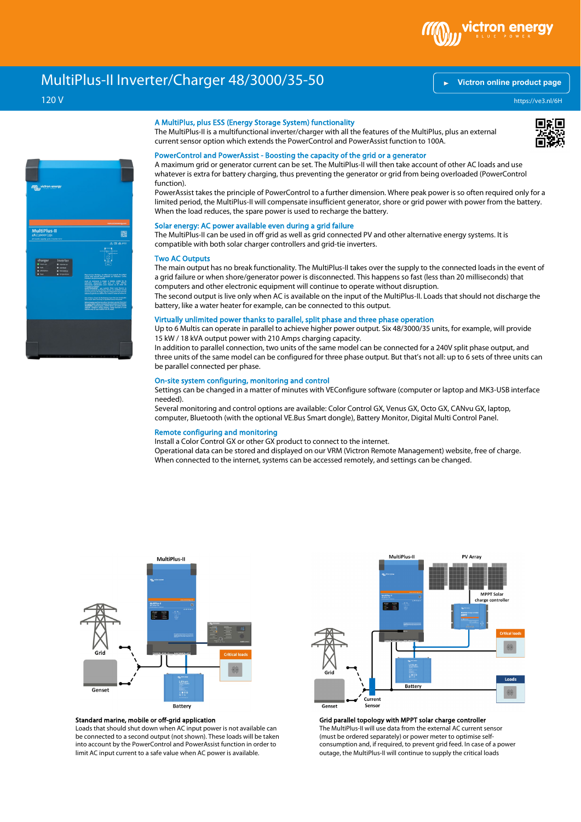

# MultiPlus-II Inverter/Charger 48/3000/35-50

# 120 V

# **[Victron online product page](https://ve3.nl/6H)**

https://ve3.nl/6H



### A MultiPlus, plus ESS (Energy Storage System) functionality

The MultiPlus-II is a multifunctional inverter/charger with all the features of the MultiPlus, plus an external current sensor option which extends the PowerControl and PowerAssist function to 100A.

# 回顧回

# PowerControl and PowerAssist - Boosting the capacity of the grid or a generator

A maximum grid or generator current can be set. The MultiPlus-II will then take account of other AC loads and use whatever is extra for battery charging, thus preventing the generator or grid from being overloaded (PowerControl function).

PowerAssist takes the principle of PowerControl to a further dimension. Where peak power is so often required only for a limited period, the MultiPlus-II will compensate insufficient generator, shore or grid power with power from the battery. When the load reduces, the spare power is used to recharge the battery.

## Solar energy: AC power available even during a grid failure

The MultiPlus-II can be used in off grid as well as grid connected PV and other alternative energy systems. It is compatible with both solar charger controllers and grid-tie inverters.

#### Two AC Outputs

The main output has no break functionality. The MultiPlus-II takes over the supply to the connected loads in the event of a grid failure or when shore/generator power is disconnected. This happens so fast (less than 20 milliseconds) that computers and other electronic equipment will continue to operate without disruption.

The second output is live only when AC is available on the input of the MultiPlus-II. Loads that should not discharge the battery, like a water heater for example, can be connected to this output.

# Virtually unlimited power thanks to parallel, split phase and three phase operation

Up to 6 Multis can operate in parallel to achieve higher power output. Six 48/3000/35 units, for example, will provide 15 kW / 18 kVA output power with 210 Amps charging capacity.

In addition to parallel connection, two units of the same model can be connected for a 240V split phase output, and three units of the same model can be configured for three phase output. But that's not all: up to 6 sets of three units can be parallel connected per phase.

# On-site system configuring, monitoring and control

Settings can be changed in a matter of minutes with VEConfigure software (computer or laptop and MK3-USB interface needed).

Several monitoring and control options are available: Color Control GX, Venus GX, Octo GX, CANvu GX, laptop, computer, Bluetooth (with the optional VE.Bus Smart dongle), Battery Monitor, Digital Multi Control Panel.

## Remote configuring and monitoring

Install a Color Control GX or other GX product to connect to the internet.

Operational data can be stored and displayed on our VRM (Victron Remote Management) website, free of charge. When connected to the internet, systems can be accessed remotely, and settings can be changed.



# Standard marine, mobile or off-grid application

Loads that should shut down when AC input power is not available can be connected to a second output (not shown). These loads will be taken into account by the PowerControl and PowerAssist function in order to limit AC input current to a safe value when AC power is available.



Grid parallel topology with MPPT solar charge controller The MultiPlus-II will use data from the external AC current sensor (must be ordered separately) or power meter to optimise selfconsumption and, if required, to prevent grid feed. In case of a power

outage, the MultiPlus-II will continue to supply the critical loads